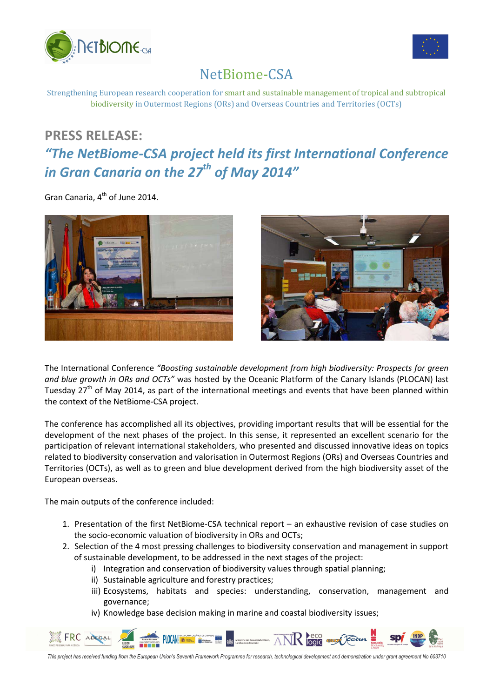



## NetBiome-CSA

Strengthening European research cooperation for smart and sustainable management of tropical and subtropical biodiversity in Outermost Regions (ORs) and Overseas Countries and Territories (OCTs)

## **PRESS RELEASE:**

## *"The NetBiome-CSA project held its first International Conference in Gran Canaria on the 27th of May 2014"*

Gran Canaria, 4<sup>th</sup> of June 2014.



The International Conference *"Boosting sustainable development from high biodiversity: Prospects for green and blue growth in ORs and OCTs"* was hosted by the Oceanic Platform of the Canary Islands (PLOCAN) last Tuesday 27<sup>th</sup> of May 2014, as part of the international meetings and events that have been planned within the context of the NetBiome-CSA project.

The conference has accomplished all its objectives, providing important results that will be essential for the development of the next phases of the project. In this sense, it represented an excellent scenario for the participation of relevant international stakeholders, who presented and discussed innovative ideas on topics related to biodiversity conservation and valorisation in Outermost Regions (ORs) and Overseas Countries and Territories (OCTs), as well as to green and blue development derived from the high biodiversity asset of the European overseas.

The main outputs of the conference included:

- 1. Presentation of the first NetBiome-CSA technical report an exhaustive revision of case studies on the socio-economic valuation of biodiversity in ORs and OCTs;
- 2. Selection of the 4 most pressing challenges to biodiversity conservation and management in support of sustainable development, to be addressed in the next stages of the project:
	- i) Integration and conservation of biodiversity values through spatial planning;
	- ii) Sustainable agriculture and forestry practices;
	- iii) Ecosystems, habitats and species: understanding, conservation, management and governance;
	- iv) Knowledge base decision making in marine and coastal biodiversity issues;



*This project has received funding from the European Union's Seventh Framework Programme for research, technological development and demonstration under grant agreement No 603710*